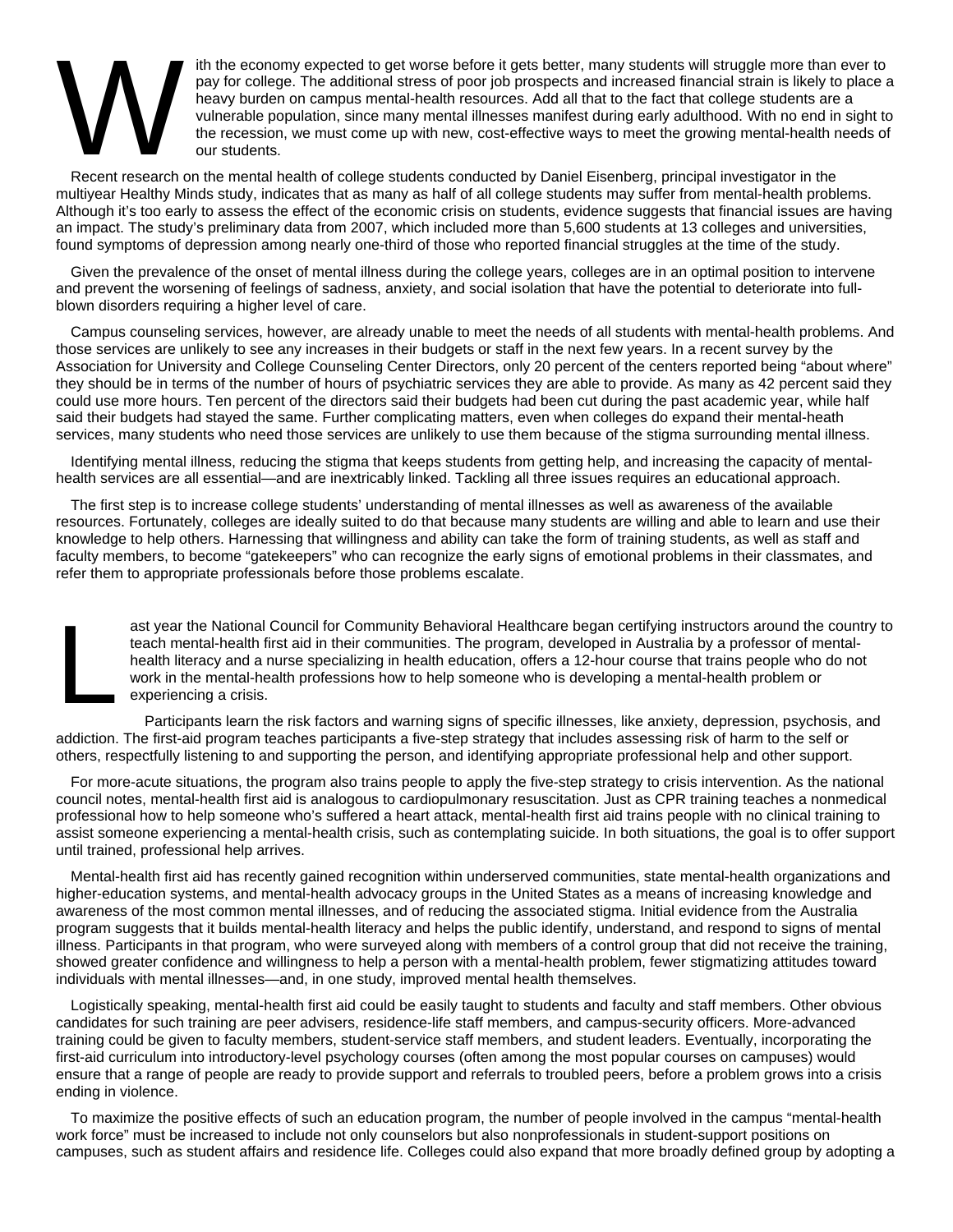## $\sum_{\substack{\text{pay} \ \text{when} \\ \text{the } i}}$

ith the economy expected to get worse before it gets better, many students will struggle more than ever to pay for college. The additional stress of poor job prospects and increased financial strain is likely to place a heavy burden on campus mental-health resources. Add all that to the fact that college students are a vulnerable population, since many mental illnesses manifest during early adulthood. With no end in sight to the recession, we must come up with new, cost-effective ways to meet the growing mental-health needs of our students.

Recent research on the mental health of college students conducted by Daniel Eisenberg, principal investigator in the multiyear Healthy Minds study, indicates that as many as half of all college students may suffer from mental-health problems. Although it's too early to assess the effect of the economic crisis on students, evidence suggests that financial issues are having an impact. The study's preliminary data from 2007, which included more than 5,600 students at 13 colleges and universities, found symptoms of depression among nearly one-third of those who reported financial struggles at the time of the study.

Given the prevalence of the onset of mental illness during the college years, colleges are in an optimal position to intervene and prevent the worsening of feelings of sadness, anxiety, and social isolation that have the potential to deteriorate into fullblown disorders requiring a higher level of care.

Campus counseling services, however, are already unable to meet the needs of all students with mental-health problems. And those services are unlikely to see any increases in their budgets or staff in the next few years. In a recent survey by the Association for University and College Counseling Center Directors, only 20 percent of the centers reported being "about where" they should be in terms of the number of hours of psychiatric services they are able to provide. As many as 42 percent said they could use more hours. Ten percent of the directors said their budgets had been cut during the past academic year, while half said their budgets had stayed the same. Further complicating matters, even when colleges do expand their mental-heath services, many students who need those services are unlikely to use them because of the stigma surrounding mental illness.

Identifying mental illness, reducing the stigma that keeps students from getting help, and increasing the capacity of mentalhealth services are all essential—and are inextricably linked. Tackling all three issues requires an educational approach.

The first step is to increase college students' understanding of mental illnesses as well as awareness of the available resources. Fortunately, colleges are ideally suited to do that because many students are willing and able to learn and use their knowledge to help others. Harnessing that willingness and ability can take the form of training students, as well as staff and faculty members, to become "gatekeepers" who can recognize the early signs of emotional problems in their classmates, and refer them to appropriate professionals before those problems escalate.

ast year the National Council for Community Behavioral Healthcare began certifying instructors around the country to teach mental-health first aid in their communities. The program, developed in Australia by a professor of mentalhealth literacy and a nurse specializing in health education, offers a 12-hour course that trains people who do not work in the mental-health professions how to help someone who is developing a mental-health problem or experiencing a crisis. ast<br>tea<br>hea<br>wo<br>exp

P articipants learn the risk factors and warning signs of specific illnesses, like anxiety, depression, psychosis, and addiction. The first-aid program teaches participants a five-step strategy that includes assessing risk of harm to the self or others, respectfully listening to and supporting the person, and identifying appropriate professional help and other support.

For more-acute situations, the program also trains people to apply the five-step strategy to crisis intervention. As the national council notes, mental-health first aid is analogous to cardiopulmonary resuscitation. Just as CPR training teaches a nonmedical professional how to help someone who's suffered a heart attack, mental-health first aid trains people with no clinical training to assist someone experiencing a mental-health crisis, such as contemplating suicide. In both situations, the goal is to offer support until trained, professional help arrives.

Mental-health first aid has recently gained recognition within underserved communities, state mental-health organizations and higher-education systems, and mental-health advocacy groups in the United States as a means of increasing knowledge and awareness of the most common mental illnesses, and of reducing the associated stigma. Initial evidence from the Australia program suggests that it builds mental-health literacy and helps the public identify, understand, and respond to signs of mental illness. Participants in that program, who were surveyed along with members of a control group that did not receive the training, showed greater confidence and willingness to help a person with a mental-health problem, fewer stigmatizing attitudes toward individuals with mental illnesses—and, in one study, improved mental health themselves.

Logistically speaking, mental-health first aid could be easily taught to students and faculty and staff members. Other obvious candidates for such training are peer advisers, residence-life staff members, and campus-security officers. More-advanced training could be given to faculty members, student-service staff members, and student leaders. Eventually, incorporating the first-aid curriculum into introductory-level psychology courses (often among the most popular courses on campuses) would ensure that a range of people are ready to provide support and referrals to troubled peers, before a problem grows into a crisis ending in violence.

To maximize the positive effects of such an education program, the number of people involved in the campus "mental-health work force" must be increased to include not only counselors but also nonprofessionals in student-support positions on campuses, such as student affairs and residence life. Colleges could also expand that more broadly defined group by adopting a